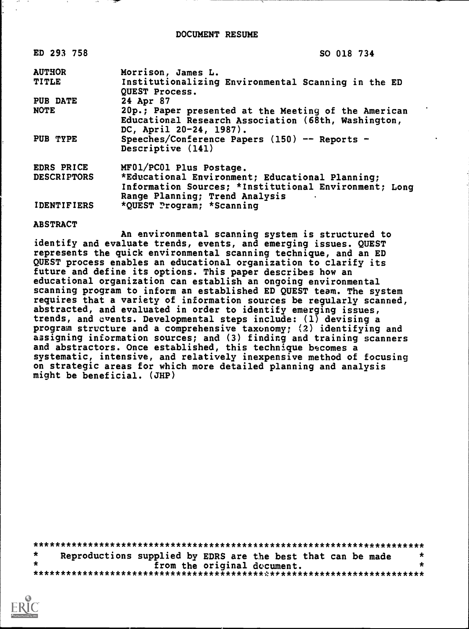| ED 293 758         | SO 018 734                                                                                                                             |
|--------------------|----------------------------------------------------------------------------------------------------------------------------------------|
| <b>AUTHOR</b>      | Morrison, James L.                                                                                                                     |
| <b>TITLE</b>       | Institutionalizing Environmental Scanning in the ED<br>QUEST Process.                                                                  |
| PUB DATE           | 24 Apr 87                                                                                                                              |
| <b>NOTE</b>        | 20p.; Paper presented at the Meeting of the American<br>Educational Research Association (68th, Washington,<br>DC, April 20-24, 1987). |
| PUB TYPE           | Speeches/Conference Papers (150) -- Reports -<br>Descriptive (141)                                                                     |
| EDRS PRICE         | MF01/PC01 Plus Postage.                                                                                                                |
| <b>DESCRIPTORS</b> | *Educational Environment; Educational Planning;                                                                                        |
|                    | Information Sources; *Institutional Environment; Long<br>Range Planning; Trend Analysis                                                |
| <b>IDENTIFIERS</b> | *QUEST Program; *Scanning                                                                                                              |

### ABSTRACT

An environmental scanning system is structured to identify and evaluate trends, events, and emerging issues. QUEST represents the quick environmental scanning technique, and an ED QUEST process enables an educational organization to clarify its future and define its options. This paper describes how an educational organization can establish an ongoing environmental scanning program to inform an established ED QUEST team. The system requires that a variety of information sources be regularly scanned, abstracted, and evaluated in order to identify emerging issues, trends, and events. Developmental steps include: (1) devising a program structure and a comprehensive taxonomy; (2) identifying and assigning information sources; and (3) finding and training scanners and abstractors. Once established, this technique becomes a systematic, intensive, and relatively inexpensive method of focusing on strategic areas for which more detailed planning and analysis might be beneficial. (JHP)

\*\*\*\*\*\*\*\*\*\*\*\*\*\*\*\*\*\*\*\*\*\*\*\*\*\*\*\*\*\*\*\*\*\*\*\*\*\*\*\*\*\*\*\*\*\*\*\*\*\*\*\*\*\*\*\*\*\*\*\*\*\*\*\*\*\*\*\*\*\*\* \* Reproductions supplied by EDRS are the best that can be made \*<br>\* from the original decument. \* from the original document. \* \*\*\*\*\*\*\*\*\*\*\*\*\*\*\*\*\*\*\*\*\*\*\*\*\*\*\*\*\*\*\*\*\*\*\*\*\*\*\*\*\*\*\*\*\*\*\*\*\*\*\*\*\*\*\*\*\*\*\*\*\*\*\*\*\*\*\*\*\*\*\*

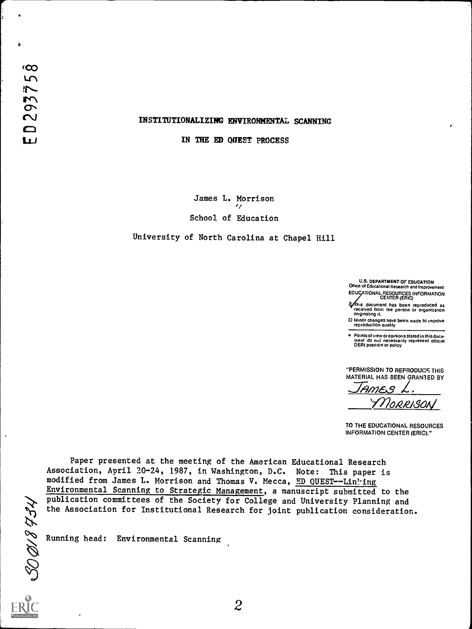# INSTITUTIONALIZING ENVIRONMENTAL SCANNING

IN THE ED QUEST PROCESS

James L. Morrison tI School of Education

University of North Carolina at Chapel Hill

U.S. DEPARTMENT OF EDUCATION Office of Educational Research and Improvement EDUCATIONAL RESOURCES INFORMATION CENTER (ERIC)

his document has been reproduced as received from the person or organization originating it

O Minor changes have been made to improve reproduction quality

Points of view or opinions stated in this docu-<br>ment ido inot inecessarily represent iofficial<br>OERI position or policy

"PERMISSION TO REPRODUCF. THIS MATERIAL HAS BEEN GRAN1ED BY

 $\frac{100}{200}$ ORASON

TO THE EDUCATIONAL RESOURCES INFORMATION CENTER (ERIC)."

Paper presented at the meeting of the American Educational Research Association, April 20-24, 1987, in Washington, D.C. Note: This paper is modified from James L. Morrison and Thomas V. Mecca, ED QUEST--Linling Environmental Scanning to Strategic Management, a manuscript submitted to the publication committees of the Society for College and University Planning and publication committees or the Society for College and University Planning and<br>the Association for Institutional Research for joint publication consideration.<br>Running head: Environmental Scanning<br>Numming head: Environmental

Running head: Environmental Scanning

 $\overline{\phantom{a}}$ 

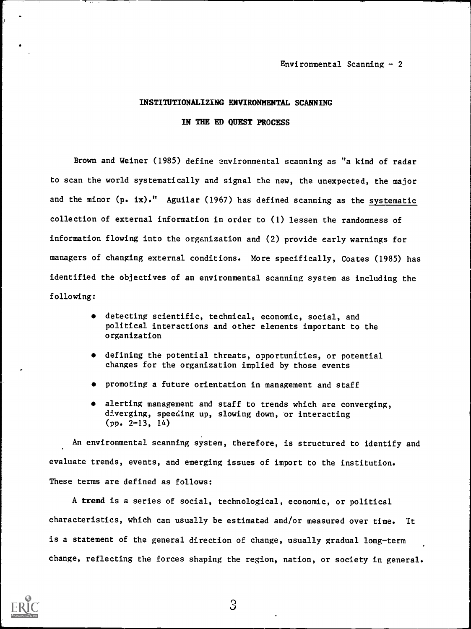# INSTITUTIONALIZING ENVIRONMENTAL SCANNING

IN THE ED QUEST PROCESS

Brown and Weiner (1985) define environmental scanning as "a kind of radar to scan the world systematically and signal the new, the unexpected, the major and the minor  $(p \cdot ix)$ ." Aguilar (1967) has defined scanning as the systematic collection of external information in order to (1) lessen the randomness of information flowing into the organization and (2) provide early warnings for managers of changing external conditions. More specifically, Coates (1985) has identified the objectives of an environmental scanning system as including the following:

- detecting scientific, technical, economic, social, and political interactions and other elements important to the organization
- defining the potential threats, opportunities, or potential changes for the organization implied by those events
- promoting a future orientation in management and staff
- alerting management and staff to trends which are converging, diverging, speeding up, slowing down, or interacting  $(pp. 2-13, 14)$

An environmental scanning system, therefore, is structured to identify and evaluate trends, events, and emerging issues of import to the institution. These terms are defined as follows:

A trend is a series of social, technological, economic, or political characteristics, which can usually be estimated and/or measured over time. It is a statement of the general direction of change, usually gradual long-term change, reflecting the forces shaping the region, nation, or society in general.

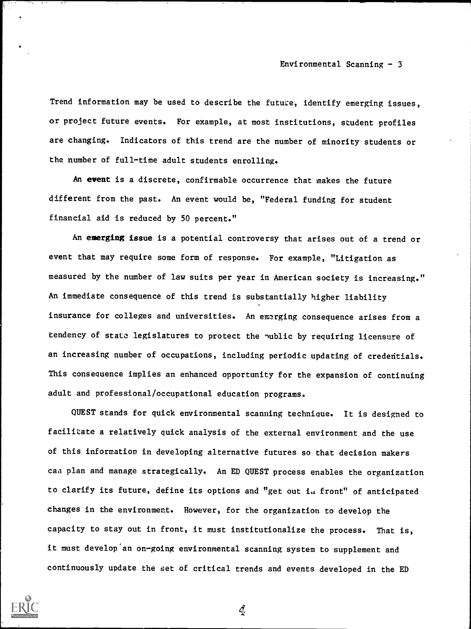Trend information may be used to describe the future, identify emerging issues, or project future events. For example, at most institutions, student profiles are changing. Indicators of this trend are the number of minority students or the number of full-time adult students enrolling.

An event is a discrete, confirmable occurrence that makes the future different from the past. An event would be, "Federal funding for student financial aid is reduced by 50 percent."

An emerging issue is a potential controversy that arises out of a trend or event that may require some form of response. For example, "Litigation as measured by the number of law suits per year in American society is increasing." An immediate consequence of this trend is substantially higher liability insurance for colleges and universities. An emerging consequence arises from a tendency of state legislatures to protect the nubile by requiring licensure of an increasing number of occupations, including periodic updating of credentials. This consequence implies an enhanced opportunity for the expansion of continuing adult and professional/occupational education programs.

QUEST stands for quick environmental scanning technique. It is designed to facilitate a relatively quick analysis of the external environment and the use of this information in developing alternative futures so that decision makers caa plan and manage strategically. An ED QUEST process enables the organization to clarify its future, define its options and "get out in front" of anticipated changes in the environment. However, for the organization to develop the capacity to stay out in front, it must institutionalize the process. That is, it must develop'an on-going environmental scanning system to supplement and continuously update the set of critical trends and events developed in the ED

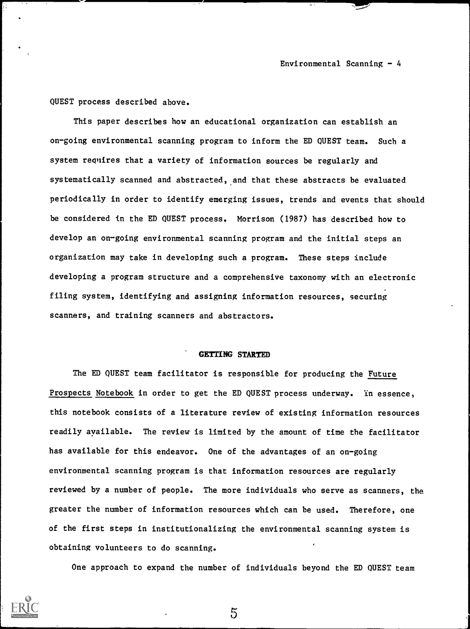QUEST process described above.

This paper describes how an educational organization can establish an on-going environmental scanning program to inform the ED QUEST team. Such a system requires that a variety of information sources be regularly and systematically scanned and abstracted, and that these abstracts be evaluated periodically in order to identify emerging issues, trends and events that should be considered in the ED QUEST process. Morrison (1987) has described how to develop an on-going environmental scanning program and the initial steps an organization may take in developing such a program. These steps include developing a program structure and a comprehensive taxonomy with an electronic filing system, identifying and assigning information resources, securing scanners, and training scanners and abstractors.

# GETTING STARTED

The ED QUEST team facilitator is responsible for producing the Future Prospects Notebook in order to get the ED QUEST process underway. In essence, this notebook consists of a literature review of existing information resources readily available. The review is limited by the amount of time the facilitator has available for this endeavor. One of the advantages of an on-going environmental scanning program is that information resources are regularly reviewed by a number of people. The more individuals who serve as scanners, the greater the number of information resources which can be used. Therefore, one of the first steps in institutionalizing the environmental scanning system is obtaining volunteers to do scanning.

One approach to expand the number of individuals beyond the ED QUEST team



 $\overline{5}$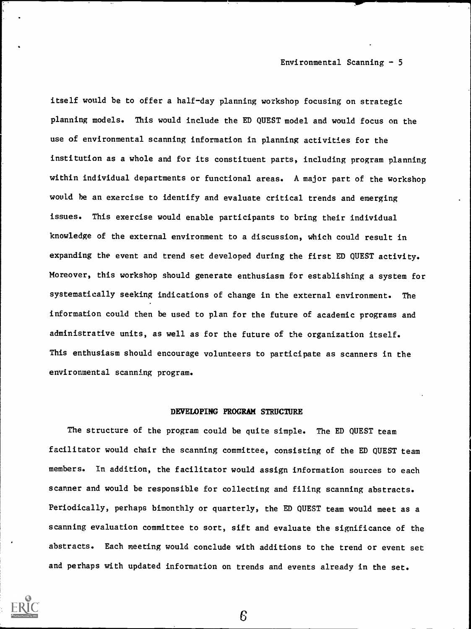itself would be to offer a half-day planning workshop focusing on strategic planning models. This would include the ED QUEST model and would focus on the use of environmental scanning information in planning activities for the institution as a whole and for its constituent parts, including program planning within individual departments or functional areas. A major part of the workshop would be an exercise to identify and evaluate critical trends and emerging issues. This exercise would enable participants to bring their individual knowledge of the external environment to a discussion, which could result in expanding the event and trend set developed during the first ED QUEST activity. Moreover, this workshop should generate enthusiasm for establishing a system for systematically seeking indications of change in the external environment. The information could then be used to plan for the future of academic programs and administrative units, as well as for the future of the organization itself. This enthusiasm should encourage volunteers to participate as scanners in the environmental scanning program.

#### DEVELOPING PROGRAM STRUCTURE

The structure of the program could be quite simple. The ED QUEST team facilitator would chair the scanning committee, consisting of the ED QUEST team members. In addition, the facilitator would assign information sources to each scanner and would be responsible for collecting and filing scanning abstracts. Periodically, perhaps bimonthly or quarterly, the ED QUEST team would meet as a scanning evaluation committee to sort, sift and evaluate the significance of the abstracts. Each meeting would conclude with additions to the trend or event set and perhaps with updated information on trends and events already in the set.

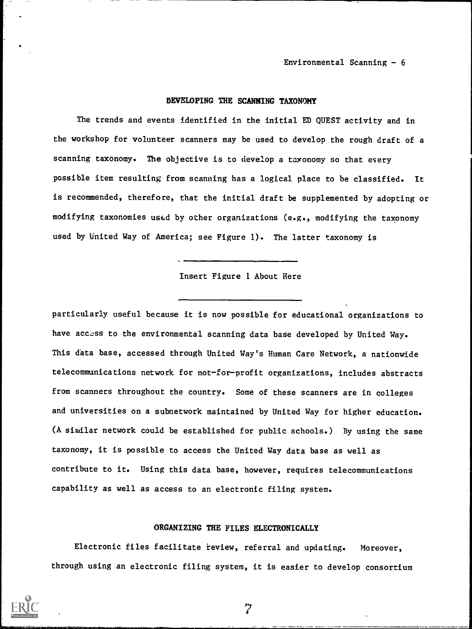# DEVELOPING THE SCANNING TAXONOMY

The trends and events identified in the initial ED QUEST activity and in the workshop for volunteer scanners may be used to develop the rough draft of a scanning taxonomy. The objective is to develop a taxonomy so that every possible item resulting from scanning has a logical place to be classified. It is recommended, therefore, that the initial draft be supplemented by adopting or modifying taxonomies used by other organizations (e.g., modifying the taxonomy used by United Way of America; see Figure 1). The latter taxonomy is

Insert Figure 1 About Here

particularly useful because it is now possible for educational organizations to have access to the environmental scanning data base developed by United Way. This data base, accessed through United Way's Human Care Network, a nationwide telecommunications network for not-for-profit organizations, includes abstracts from scanners throughout the country. Some of these scanners are in colleges and universities on a subnetwork maintained by United Way for higher education. (A similar network could be established for public schools.) By using the same taxonomy, it is possible to access the United Way data base as well as contribute to it. Using this data base, however, requires telecommunications capability as well as access to an electronic filing system.

#### ORGANIZING THE FILES ELECTRONICALLY

Electronic files facilitate review, referral and updating. Moreover, through using an electronic filing system, it is easier to develop consortium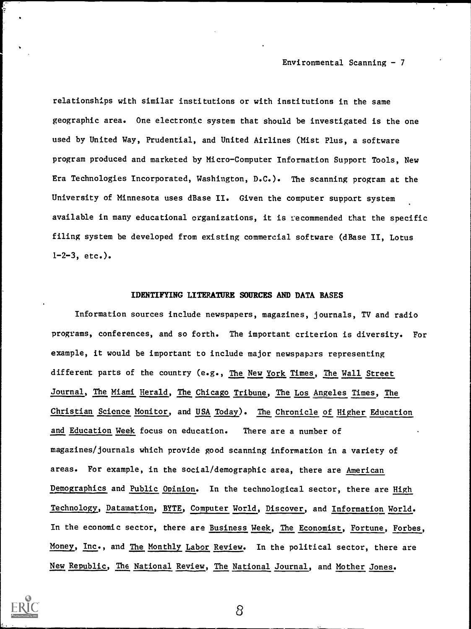relationships with similar institutions or with institutions in the same geographic area. One electronic system that should be investigated is the one used by United Way, Prudential, and United Airlines (Mist Plus, a software program produced and marketed by Micro-Computer Information Support Tools, New Era Technologies Incorporated, Washington, D.C.). The scanning program at the University of Minnesota uses dBase II. Given the computer support system available in many educational organizations, it is recommended that the specific filing system be developed from existing commercial software (dBase II, Lotus  $1-2-3$ , etc.).

# IDENTIFYING LITERATURE SOURCES AND DATA BASES

Information sources include newspapers, magazines, journals, TV and radio programs, conferences, and so forth. The important criterion is diversity. For example, it would be important to include major newspapers representing different parts of the country (e.g., The New York Times, The Wall Street Journal, The Miami Herald, The Chicago Tribune, The Los Angeles Times, The Christian Science Monitor, and USA Today). The Chronicle of Higher Education and Education Week focus on education. There are a number of magazines/journals which provide good scanning information in a variety of areas. For example, in the social/demographic area, there are American Demographics and Public Opinion. In the technological sector, there are High Technology, Datamation, BYTE, Computer World, Discover, and Information World. In the economic sector, there are Business Week, The Economist, Fortune, Forbes, Money, Inc., and The Monthly Labor Review. In the political sector, there are New Republic, The National Review, The National Journal, and Mother Jones.

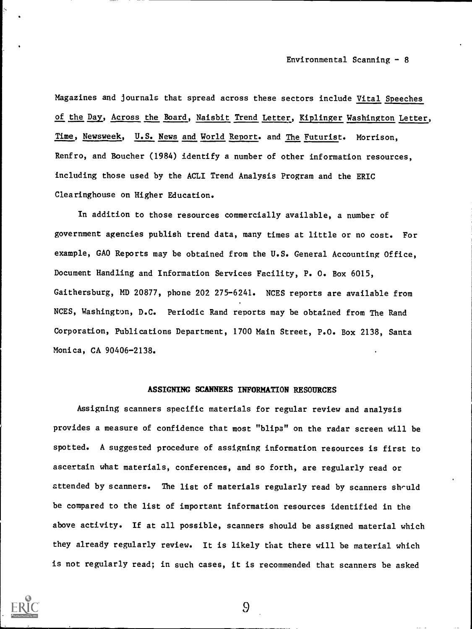Magazines and journals that spread across these sectors include Vital Speeches of the Day, Across the Board, Naisbit Trend Letter, Kiplinger Washington Letter, Time, Newsweek, U.S. News and World Report. and The Futurist. Morrison, Renfro, and Boucher (1984) identify a number of other information resources, including those used by the ACLI Trend Analysis Program and the ERIC Clearinghouse on Higher Education.

In addition to those resources commercially available, a number of government agencies publish trend data, many times at little or no cost. For example, GAO Reports may be obtained from the U.S. General Accounting Office, Document Handling and Information Services Facility, P. 0. Box 6015, Gaithersburg, MD 20877, phone 202 275-6241. NCES reports are available from NCES, Washington, D.C. Periodic Rand reports may be obtained from The Rand Corporation, Publications Department, 1700 Main Street, P.O. Box 2138, Santa Monica, CA 90406-2138.

# ASSIGNING SCANNERS INFORMATION RESOURCES

Assigning scanners specific materials for regular review and analysis provides a measure of confidence that most "blips" on the radar screen will be spotted. A suggested procedure of assigning information resources is first to ascertain what materials, conferences, and so forth, are regularly read or attended by scanners. The list of materials regularly read by scanners should be compared to the list of important information resources identified in the above activity. If at all possible, scanners should be assigned material which they already regularly review. It is likely that there will be material which is not regularly read; in such cases, it is recommended that scanners be asked



 $\Omega$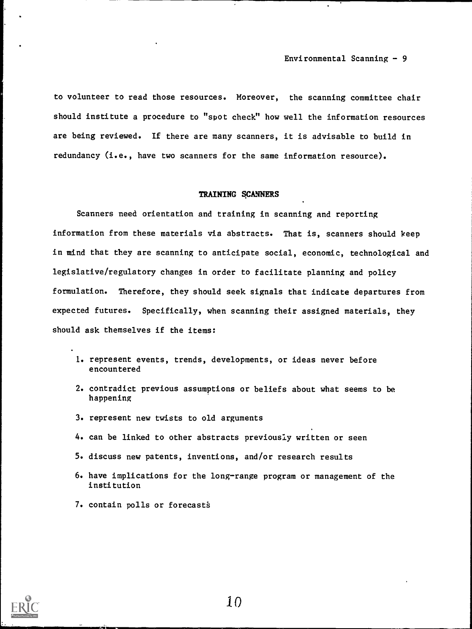to volunteer to read those resources. Moreover, the scanning committee chair should institute a procedure to "spot check" how well the information resources are being reviewed. If there are many scanners, it is advisable to build in redundancy (i.e., have two scanners for the same information resource).

#### TRAINING SCANNERS

Scanners need orientation and training in scanning and reporting information from these materials via abstracts. That is, scanners should keep in mind that they are scanning to anticipate social, economic, technological and legislative/regulatory changes in order to facilitate planning and policy formulation. Therefore, they should seek signals that indicate departures from expected futures. Specifically, when scanning their assigned materials, they should ask themselves if the items:

- I. represent events, trends, developments, or ideas never before encountered
- 2. contradict previous assumptions or beliefs about what seems to be happening
- 3. represent new twists to old arguments
- 4. can be linked to other abstracts previously written or seen
- 5. discuss new patents, inventions, and/or research results
- 6. have implications for the long-range program or management of the institution
- 7. contain polls or forecast

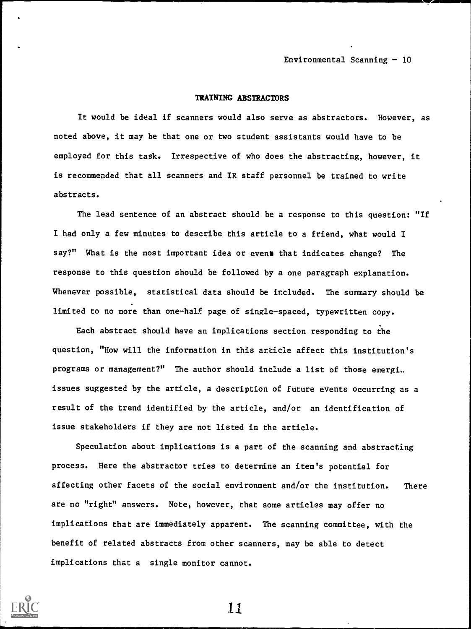### TRAINING ABSTRACTORS

It would be ideal if scanners would also serve as abstractors. However, as noted above, it may be that one or two student assistants would have to be employed for this task. Irrespective of who does the abstracting, however, it is recommended that all scanners and IR staff personnel be trained to write abstracts.

The lead sentence of an abstract should be a response to this question: "If I had only a few minutes to describe this article to a friend, what would I say?" What is the most important idea or evens that indicates change? The response to this question should be followed by a one paragraph explanation. Whenever possible, statistical data should be included. The summary should be limited to no more than one-half page of single-spaced, typewritten copy.

Each abstract should have an implications section responding to the question, "How will the information in this article affect this institution's programs or management?" The author should include a list of those emergi.. issues suggested by the article, a description of future events occurring as a result of the trend identified by the article, and/or an identification of issue stakeholders if they are not listed in the article.

Speculation about implications is a part of the scanning and abstracting process. Here the abstractor tries to determine an item's potential for affecting other facets of the social environment and/or the institution. There are no "right" answers. Note, however, that some articles may offer no implications that are immediately apparent. The scanning committee, with the benefit of related abstracts from other scanners, may be able to detect implications that a single monitor cannot.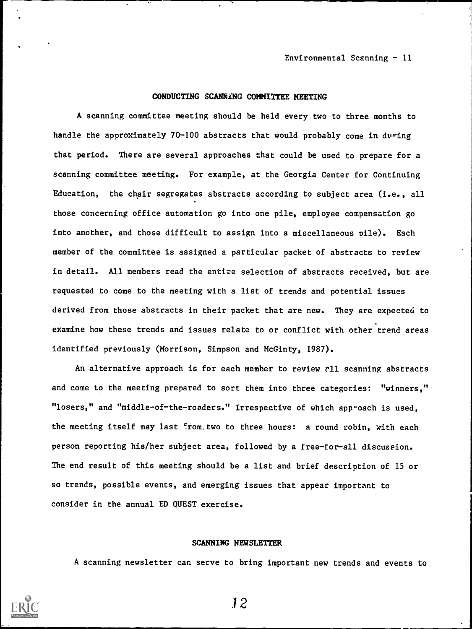#### CONDUCTING SCANNING COMMITTEE MEETING

A scanning committee meeting should be held every two to three months to handle the approximately 70-100 abstracts that would probably come in during that period. There are several approaches that could be used to prepare for a scanning committee meeting. For example, at the Georgia Center for Continuing Education, the chair segregates abstracts according to subject area (i.e., all those concerning office automation go into one pile, employee compensation go into another, and those difficult to assign into a miscellaneous pile). Each member of the committee is assigned a particular packet of abstracts to review in detail. All members read the entire selection of abstracts received, but are requested to come to the meeting with a list of trends and potential issues derived from those abstracts in their packet that are new. They are expected to examine how these trends and issues relate to or conflict with other trend areas identified previously (Morrison, Simpson and McGinty, 1987).

An alternative approach is for each member to review ell scanning abstracts and come to the meeting prepared to sort them into three categories: "winners," "losers," and "middle-of-the-roaders." Irrespective of which approach is used, the meeting itself may last 'rom.two to three hours: a round robin, with each person reporting his/her subject area, followed by a free-for-all discussion. The end result of this meeting should be a list and brief description of 15 or so trends, possible events, and emerging issues that appear important to consider in the annual ED QUEST exercise.

# SCANNING NEWSLETTER

A scanning newsletter can serve to bring important new trends and events to

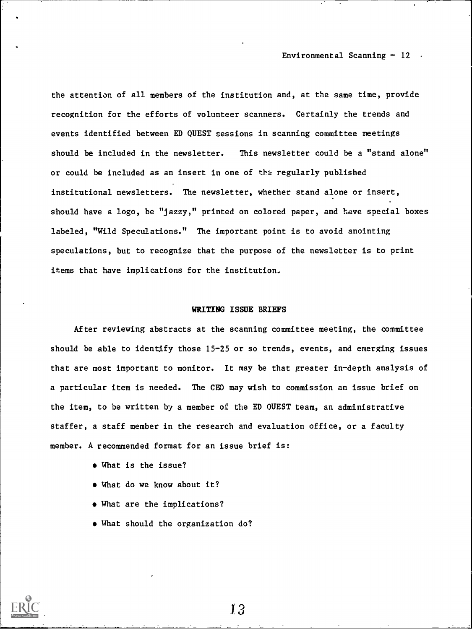the attention of all members of the institution and, at the same time, provide recognition for the efforts of volunteer scanners. Certainly the trends and events identified between ED QUEST sessions in scanning committee meetings should be included in the newsletter. This newsletter could be a "stand alone" or could be included as an insert in one of the regularly published institutional newsletters. The newsletter, whether stand alone or insert, should have a logo, be "jazzy," printed on colored paper, and have special boxes labeled, "Wild Speculations." The important point is to avoid anointing speculations, but to recognize that the purpose of the newsletter is to print items that have implications for the institution.

# WRITING ISSUE BRIEFS

After reviewing abstracts at the scanning committee meeting, the committee should be able to identify those 15-25 or so trends, events, and emerging issues that are most important to monitor. It may be that greater in-depth analysis of a particular item is needed. The CEO may wish to commission an issue brief on the item, to be written by a member of the ED QUEST team, an administrative staffer, a staff member in the research and evaluation office, or a faculty member. A recommended format for an issue brief is:

- What is the issue?
- What do we know about it?
- What are the implications?
- What should the organization do?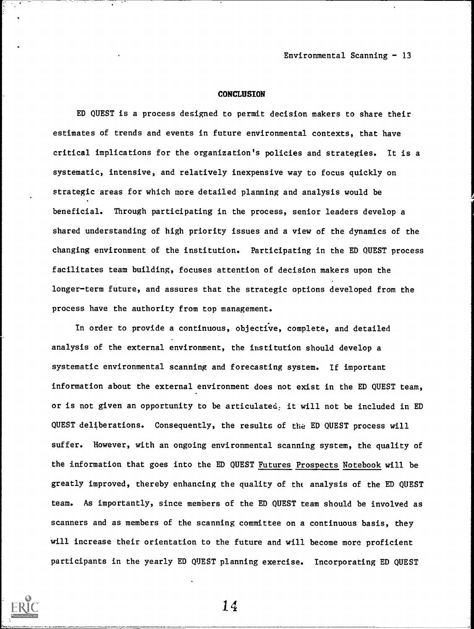#### CONCLUSION

ED QUEST is a process designed to permit decision makers to share their estimates of trends and events in future environmental contexts, that have critical implications for the organization's policies and strategies. It is a systematic, intensive, and relatively inexpensive way to focus quickly on strategic areas for which more detailed planning and analysis would be beneficial. Through participating in the process, senior leaders develop a shared understanding of high priority issues and a view of the dynamics of the changing environment of the institution. Participating in the ED QUEST process facilitates team building, focuses attention of decision makers upon the longer-term future, and assures that the strategic options developed from the process have the authority from top management.

In order to provide a continuous, objective, complete, and detailed analysis of the external environment, the institution should develop a systematic environmental scanning and forecasting system. If important information about the external environment does not exist in the ED QUEST team, or is not given an opportunity to be articulated, it will not be included in ED QUEST deliberations. Consequently, the results of the ED QUEST process will suffer. However, with an ongoing environmental scanning system, the quality of the information that goes into the ED QUEST Futures Prospects Notebook will be greatly improved, thereby enhancing the quality of the analysis of the ED QUEST team. As importantly, since members of the ED QUEST team should be involved as scanners and as members of the scanning committee on a continuous basis, they will increase their orientation to the future and will become more proficient participants in the yearly ED QUEST planning exercise. Incorporating ED QUEST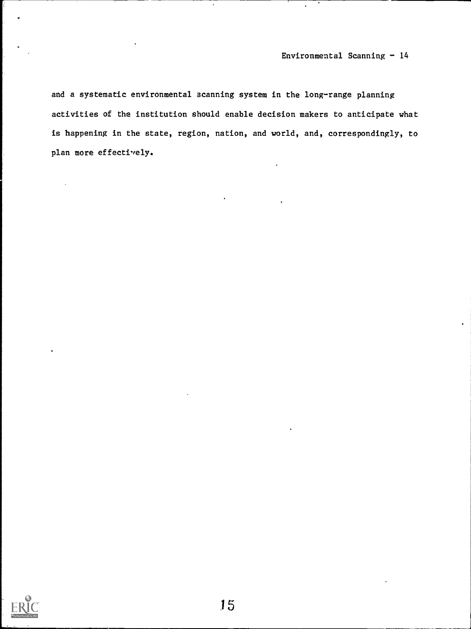and a systematic environmental scanning system in the long-range planning activities of the institution should enable decision makers to anticipate what is happening in the state, region, nation, and world, and, correspondingly, to plan more effectively.

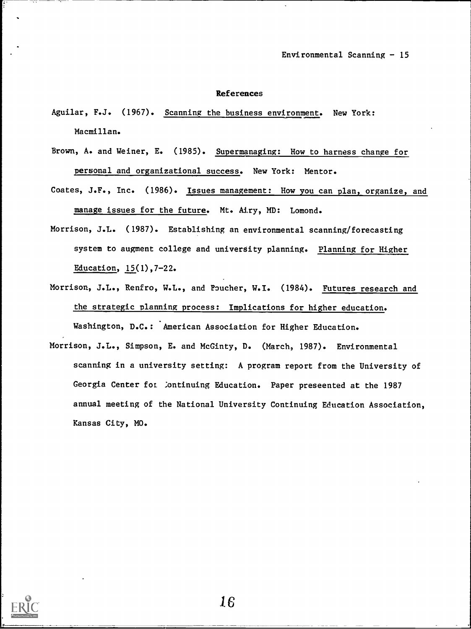#### References

- Aguilar, F.J. (1967). Scanning the business environment. New York: Macmillan.
- Brown, A. and Weiner, E. (1985). Supermanaging: How to harness change for personal and organizational success. New York: Mentor.
- Coates, J.F., Inc. (1986). Issues management: How you can plan, organize, and manage issues for the future. Mt. Airy, MD: Lomond.
- Morrison, J.L. (1987). Establishing an environmental scanning/forecasting system to augment college and university planning. Planning for Higher Education, 15(1),7-22.
- Morrison, J.L., Renfro, W.L., and Poucher, W.I. (1984). Futures research and the strategic planning process: Implications for higher education. Washington, D.C.: American Association for Higher Education.
- Morrison, J.L., Simpson, E. and McGinty, D. (March, 1987). Environmental scanning in a university setting: A program report from the University of Georgia Center for Continuing Education. Paper preseented at the 1987 annual meeting of the National University Continuing Education Association, Kansas City, MO.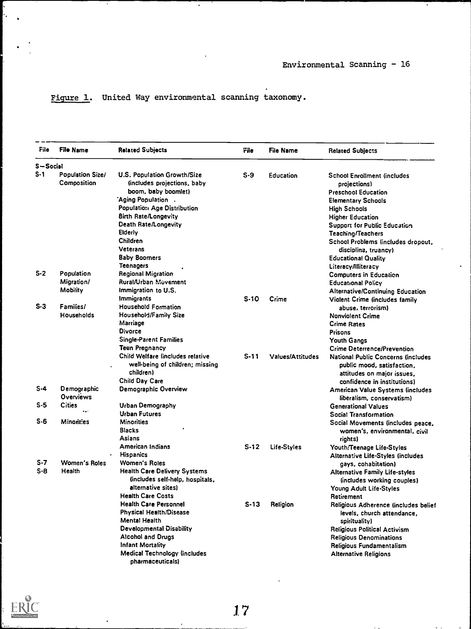# Figure 1. United Way environmental scanning taxonomy.

 $\blacksquare$ 

| File     | <b>File Name</b>                | <b>Related Subjects</b>                                                          | File   | <b>File Name</b>        | <b>Related Subjects</b>                                                                        |
|----------|---------------------------------|----------------------------------------------------------------------------------|--------|-------------------------|------------------------------------------------------------------------------------------------|
| S-Social |                                 |                                                                                  |        |                         |                                                                                                |
| S-1      | Population Size/<br>Composition | <b>U.S. Population Growth/Size</b><br>(includes projections, baby                | S-9    | Education               | <b>School Enrollment (includes</b><br>projections)                                             |
|          |                                 | boom, baby boomlet)                                                              |        |                         | <b>Preschool Education</b>                                                                     |
|          |                                 | Aging Population .                                                               |        |                         | <b>Elementary Schools</b>                                                                      |
|          |                                 | Population Age Distribution                                                      |        |                         | <b>High Schools</b>                                                                            |
|          |                                 | <b>Birth Rate/Longevity</b>                                                      |        |                         |                                                                                                |
|          |                                 | Death Rate/Longevity                                                             |        |                         | <b>Higher Education</b>                                                                        |
|          |                                 | Elderly                                                                          |        |                         | Support for Public Education                                                                   |
|          |                                 | Children                                                                         |        |                         | <b>Teaching/Teachers</b>                                                                       |
|          |                                 | Veterans                                                                         |        |                         | School Problems (includes dropout,                                                             |
|          |                                 |                                                                                  |        |                         | discipline, truancy)                                                                           |
|          |                                 | Baby Boomers                                                                     |        |                         | <b>Educational Quality</b>                                                                     |
|          |                                 | <b>Teenagers</b>                                                                 |        |                         | Literacy/illiteracy                                                                            |
| $S-2$    | Population                      | <b>Regional Migration</b>                                                        |        |                         | <b>Computers in Education</b>                                                                  |
|          | Migration/                      | Rural/Urban Müvement                                                             |        |                         | <b>Educational Policy</b>                                                                      |
|          | <b>Mobility</b>                 | Immigration to U.S.                                                              |        |                         | Alternative/Continuing Education                                                               |
|          |                                 | Immigrants                                                                       | $S-1O$ | Crime                   | Violent Crime (includes family                                                                 |
| $S-3$    | Families/                       | <b>Household Formation</b>                                                       |        |                         | abuse, terrorism)                                                                              |
|          | Households                      | Household/Family Size                                                            |        |                         | <b>Nonviolent Crime</b>                                                                        |
|          |                                 | Marriage                                                                         |        |                         | <b>Crime Rates</b>                                                                             |
|          |                                 | <b>Divorce</b>                                                                   |        |                         | <b>Prisons</b>                                                                                 |
|          |                                 | <b>Single-Parent Families</b>                                                    |        |                         | <b>Youth Gangs</b>                                                                             |
|          |                                 | Teen Pregnancy                                                                   |        |                         | <b>Crime Deterrence/Prevention</b>                                                             |
|          |                                 | Child Welfare lincludes relative<br>well-being of children; missing<br>children) | $S-11$ | <b>Values/Attitudes</b> | National Public Concerns (includes<br>public mood, satisfaction,<br>attitudes on major issues, |
|          |                                 | Child Day Care                                                                   |        |                         | confidence in institutions)                                                                    |
| S-4      | Demographic                     | Demographic Overview                                                             |        |                         | American Value Systems (includes                                                               |
|          | Overviews                       |                                                                                  |        |                         | liberalism, conservatism)                                                                      |
| S-5      | Cities                          | <b>Urban Demography</b>                                                          |        |                         | <b>Generational Values</b>                                                                     |
|          |                                 | <b>Urban Futures</b>                                                             |        |                         | Social Transformation                                                                          |
| $S - 6$  | Minorities                      | <b>Minorities</b>                                                                |        |                         | Social Movements (includes peace,                                                              |
|          |                                 | <b>Blacks</b>                                                                    |        |                         |                                                                                                |
|          |                                 | Asians                                                                           |        |                         | women's, environmental, civil                                                                  |
|          |                                 | American Indians                                                                 | S-12   |                         | rights)                                                                                        |
|          |                                 | <b>Hispanics</b>                                                                 |        | Life-Styles             | Youth:Teenage Life-Styles                                                                      |
| S-7      | Women's Roles                   |                                                                                  |        |                         | Alternative Life-Styles (includes                                                              |
| S-8      |                                 | <b>Women's Roles</b>                                                             |        |                         | gays, cohabitation)                                                                            |
|          | Health                          | <b>Health Care Delivery Systems</b>                                              |        |                         | <b>Alternative Family Life-styles</b>                                                          |
|          |                                 | (includes self-help, hospitals,                                                  |        |                         | (includes working couples)                                                                     |
|          |                                 | alternative sites)                                                               |        |                         | Young Adult Life-Styles                                                                        |
|          |                                 | <b>Health Care Costs</b>                                                         |        |                         | Retirement                                                                                     |
|          |                                 | <b>Health Care Personnel</b>                                                     | $S-13$ | Religion                | Religious Adherence (includes belief                                                           |
|          |                                 | <b>Physical Health/Disease</b>                                                   |        |                         | levels, church attendance,                                                                     |
|          |                                 | Mental Health                                                                    |        |                         | spirituality)                                                                                  |
|          |                                 | <b>Developmental Disability</b>                                                  |        |                         | <b>Religious Political Activism</b>                                                            |
|          |                                 | <b>Alcohol and Drugs</b>                                                         |        |                         | <b>Religious Denominations</b>                                                                 |
|          |                                 | Infant Mortality                                                                 |        |                         | Religious Fundamentalism                                                                       |
|          |                                 | Medical Technology (includes<br>pharmaceuticals)                                 |        |                         | <b>Alternative Religions</b>                                                                   |



ŀ,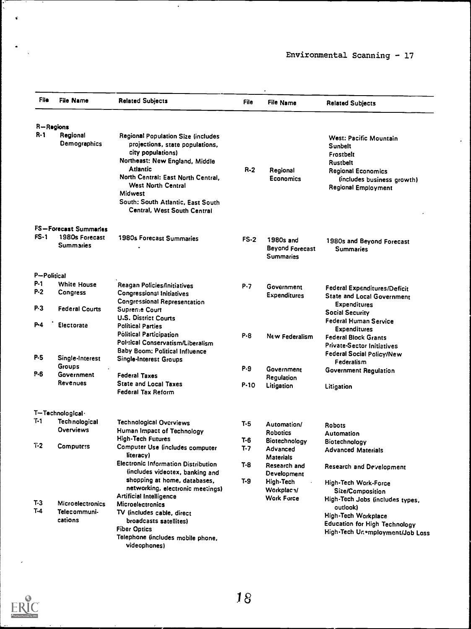$\bar{\star}$ 

| File        | <b>File Name</b>            | <b>Related Subjects</b>                                                                                                                                                        | File   | <b>File Name</b>                                        | <b>Related Subjects</b>                                                                                               |
|-------------|-----------------------------|--------------------------------------------------------------------------------------------------------------------------------------------------------------------------------|--------|---------------------------------------------------------|-----------------------------------------------------------------------------------------------------------------------|
|             | R-Regions                   |                                                                                                                                                                                |        |                                                         |                                                                                                                       |
| R-1         | Regional<br>Demographics    | Regional Population Size (includes<br>projections, state populations,<br>city populations)<br>Northeast: New England, Middle<br>Atlantic<br>North Central: East North Central, | $R-2$  | Regional<br>Economics                                   | West: Pacific Mountain<br>Sunbelt<br>Frostbelt<br>Rustbelt<br><b>Regional Economics</b><br>(includes business growth) |
|             |                             | <b>West North Central</b><br>Midwest<br>South: South Atlantic, East South<br>Central, West South Central                                                                       |        |                                                         | Regional Employment                                                                                                   |
|             | FS-Forecast Summaries       |                                                                                                                                                                                |        |                                                         |                                                                                                                       |
| $FS-1$      | 1980s Forecast<br>Summaries | 1980s Forecast Summaries                                                                                                                                                       | $FS-2$ | 1980s and<br><b>Beyond Forecast</b><br><b>Summaries</b> | 1980s and Beyond Forecast<br><b>Summaries</b>                                                                         |
| P-Political |                             |                                                                                                                                                                                |        |                                                         |                                                                                                                       |
| P-1         | <b>White House</b>          | Reagan Policies/Initiatives                                                                                                                                                    | P.7    | Government                                              | <b>Federal Expenditures/Deficit</b>                                                                                   |
| $P-2$       | Congress                    | <b>Congressional Initiatives</b><br><b>Congressional Representation</b>                                                                                                        |        | <b>Expenditures</b>                                     | <b>State and Local Government</b><br><b>Expenditures</b>                                                              |
| P 3         | <b>Federal Courts</b>       | Supremie Court<br><b>U.S. District Courts</b>                                                                                                                                  |        |                                                         | <b>Social Security</b><br>Federal Human Service                                                                       |
| P-4         | Electorate                  | <b>Political Parties</b><br><b>Political Participation</b>                                                                                                                     | P-8    |                                                         | <b>Expenditures</b>                                                                                                   |
|             |                             | Political Conservatism/Liberalism                                                                                                                                              |        | New Federalism                                          | <b>Federal Block Grants</b><br><b>Private-Sector Initiatives</b>                                                      |
| P.5         | Single-Interest             | <b>Baby Boom: Political Influence</b><br>Single-Interest Groups                                                                                                                |        |                                                         | <b>Federal Social Policy/New</b><br>Federalism                                                                        |
|             | <b>Groups</b>               |                                                                                                                                                                                | P.9    | Government                                              | Government Regulation                                                                                                 |
| P.6         | Government                  | <b>Federal Taxes</b>                                                                                                                                                           |        | Regulation                                              |                                                                                                                       |
|             | Revenues                    | <b>State and Local Taxes</b><br><b>Federal Tax Reform</b>                                                                                                                      | P-10   | Litigation                                              | Litigation                                                                                                            |
|             | T-Technological             |                                                                                                                                                                                |        |                                                         |                                                                                                                       |
| Τ-1         | <b>Technological</b>        | Technological Overviews                                                                                                                                                        | T-5    | Automation/                                             | <b>Robots</b>                                                                                                         |
|             | Overviews                   | Human Impact of Technology                                                                                                                                                     |        | Robotics                                                | Automation                                                                                                            |
|             |                             | <b>High-Tech Futures</b>                                                                                                                                                       | T-6    | Biotechnology                                           | Biotechnology                                                                                                         |
| $T-2$       | Computers                   | Computer Use (includes computer<br>literacy)                                                                                                                                   | T-7    | Advanced<br><b>Materials</b>                            | <b>Advanced Materials</b>                                                                                             |
|             |                             | <b>Electronic Information Distribution</b><br>(includes videotex, banking and                                                                                                  | $T-8$  | Research and<br>Development                             | Research and Development                                                                                              |
|             |                             | shopping at home, databases,                                                                                                                                                   | $T-9$  | High-Tech                                               | High-Tech Work-Force                                                                                                  |
|             |                             | networking, electronic meetings)                                                                                                                                               |        | Workplac <sub>1</sub> /                                 | Size/Composition                                                                                                      |
| $T-3$       | <b>Microelectronics</b>     | <b>Artificial Intelligence</b><br>Microelectronics                                                                                                                             |        | <b>Work Force</b>                                       | High-Tech Jobs (includes types,<br>outlook)                                                                           |
| T-4         | Telecommuni-                | TV (includes cable, direct                                                                                                                                                     |        |                                                         | <b>High-Tech Workplace</b>                                                                                            |
|             | cations                     | broadcasts satellites)                                                                                                                                                         |        |                                                         | <b>Education for High Technology</b>                                                                                  |
|             |                             | <b>Fiber Optics</b>                                                                                                                                                            |        |                                                         | High-Tech Unemployment/Job Loss                                                                                       |
|             |                             | Telephone (includes mobile phone,<br>videophones)                                                                                                                              |        |                                                         |                                                                                                                       |

 $\ddot{\phantom{a}}$ 



 $\epsilon$ 

Ĵ

 $\hat{\mathbf{c}}$ 

 $\bullet$ 

 $\mathcal{L}(\mathcal{A})=\mathcal{L}(\mathcal{A})$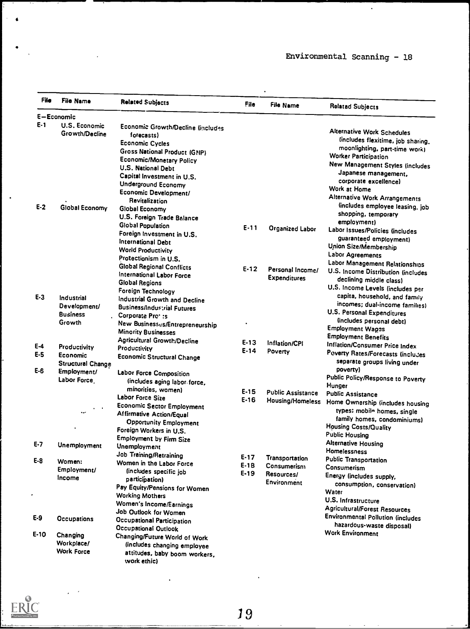$\ddot{\phantom{0}}$ 

| File  | <b>File Name</b>         | <b>Related Subjects</b>                            | File     | <b>File Name</b>         | <b>Relatad Subjects</b>                           |
|-------|--------------------------|----------------------------------------------------|----------|--------------------------|---------------------------------------------------|
|       | E-Economic               |                                                    |          |                          |                                                   |
| $E-1$ | U.S. Economic            | <b>Economic Growth/Decline (includes</b>           |          |                          | <b>Alternative Work Schedules</b>                 |
|       | Growth/Decline           | forecasts)                                         |          |                          |                                                   |
|       |                          | <b>Economic Cycles</b>                             |          |                          | lincludes flexitime, job sharing.                 |
|       |                          | <b>Gross National Product (GNP)</b>                |          |                          | moonlighting, part-time work)                     |
|       |                          | <b>Economic/Monetary Policy</b>                    |          |                          | <b>Worker Participation</b>                       |
|       |                          | <b>U.S. National Debt</b>                          |          |                          | New Management Styles (includes                   |
|       |                          | Capital Investment in U.S.                         |          |                          | Japanese management,                              |
|       |                          | Underground Economy                                |          |                          | corporate excellence)                             |
|       |                          | Economic Development/                              |          |                          | Work at Home                                      |
|       |                          | Revitalization                                     |          |                          | <b>Alternative Work Arrangements</b>              |
| $E-2$ | Global Economy           | Global Economy                                     |          |                          | lincludes employee leasing, job                   |
|       |                          | U.S. Foreign Trade Balance                         |          |                          | shopping, temporary                               |
|       |                          | <b>Global Population</b>                           | $E - 11$ |                          | employment)                                       |
|       |                          | Foreign Investment in U.S.                         |          | Organized Labor          | Labor Issues/Policies (includes                   |
|       |                          | International Debt                                 |          |                          | guaranteed employment)                            |
|       |                          | <b>World Productivity</b>                          |          |                          | Union Size/Membership                             |
|       |                          | Protectionism in U.S.                              |          |                          | Labor Agreements                                  |
|       |                          | <b>Global Regional Conflicts</b>                   |          |                          | Labor Management Relationships                    |
|       |                          | International Labor Force                          | $E-12$   | Personal Income/         | U.S. Income Distribution (includes                |
|       |                          | Global Regions                                     |          | <b>Expenditures</b>      | declining middle class)                           |
|       |                          | Foreign Technology                                 |          |                          | U.S. Income Levels (includes per                  |
| $E-3$ | Industrial               | Industrial Growth and Decline                      |          |                          | capita, household, and family                     |
|       | Development/             | <b>Business/Industrial Futures</b>                 |          |                          | incomes; dual-income families)                    |
|       | <b>Business</b>          | Corporate Pro <sup>2</sup> :s                      |          |                          | <b>U.S. Personal Expenditures</b>                 |
|       | Growth                   | New Businessus/Entrepreneurship                    |          |                          | (includes personal debt)                          |
|       |                          | <b>Minority Businesses</b>                         |          |                          | <b>Employment Wages</b>                           |
|       |                          |                                                    |          |                          | <b>Employment Benefits</b>                        |
| $E-4$ | Productivity             | <b>Agricultural Growth/Decline</b><br>Productivity | $E-13$   | Inflation/CPI            | Inflation/Consumer Price Index                    |
| $E-5$ | Economic                 |                                                    | $E - 14$ | Poverty                  | <b>Poverty Rates/Forecasts (includes</b>          |
|       | <b>Structural Change</b> | <b>Economic Structural Change</b>                  |          |                          | separate groups living under                      |
| $E-6$ | Employment/              |                                                    |          |                          | poverty)                                          |
|       | Labor Force              | Labor Force Composition                            |          |                          | Public Policy/Response to Poverty                 |
|       |                          | (includes aging labor force,                       |          |                          | Hunger                                            |
|       |                          | minorities, women)                                 | $E-15$   | <b>Public Assistance</b> | <b>Public Assistance</b>                          |
|       |                          | <b>Labor Force Size</b>                            | $E-16$   |                          | Housing/Homeless Home Ownership (includes housing |
|       |                          | <b>Economic Sector Employment</b>                  |          |                          | types: mobile homes, single                       |
|       |                          | <b>Affirmative Action/Equal</b>                    |          |                          | family homes, condominiums)                       |
|       |                          | <b>Opportunity Employment</b>                      |          |                          | Housing Costs/Quality                             |
|       |                          | Foreign Workers in U.S.                            |          |                          | <b>Public Housing</b>                             |
| $E-7$ |                          | <b>Employment by Firm Size</b>                     |          |                          | <b>Alternative Housing</b>                        |
|       | Unemployment             | <b>Unemployment</b>                                |          |                          | Homelessness                                      |
| $E-8$ |                          | Job Training/Retraining                            | $E - 17$ | <b>Transportation</b>    | <b>Public Transportation</b>                      |
|       | Women:                   | Women in the Labor Force                           | $E-1B$   | Consumerism              | Consumerism                                       |
|       | Employment/              | (includes specific job                             | $E-19$   | Resources/               | Energy (includes supply,                          |
|       | Income                   | participation)                                     |          | Environment              | consumption, conservation)                        |
|       |                          | Pay Equity/Pensions for Women                      |          |                          | Water                                             |
|       |                          | <b>Working Mothers</b>                             |          |                          | U.S. Infrastructure                               |
|       |                          | Women's Income/Earnings                            |          |                          |                                                   |
|       |                          | Job Outlook for Women                              |          |                          | <b>Agricultural/Forest Resources</b>              |
| E-9   | Occupations              | <b>Occupational Participation</b>                  |          |                          | <b>Environmental Pollution (includes</b>          |
|       |                          | Occupational Outlook                               |          |                          | hazardous-waste disposal)                         |
| E-10  | Changing                 | Changing/Future World of Work                      |          |                          | <b>Work Environment</b>                           |
|       | Workplace/               | (includes changing employee                        |          |                          |                                                   |
|       | <b>Work Force</b>        | attitudes, baby boom workers,                      |          |                          |                                                   |
|       |                          | work ethic)                                        |          |                          |                                                   |



 $\mathbb{Z}$ 

 $\ddot{\phantom{0}}$